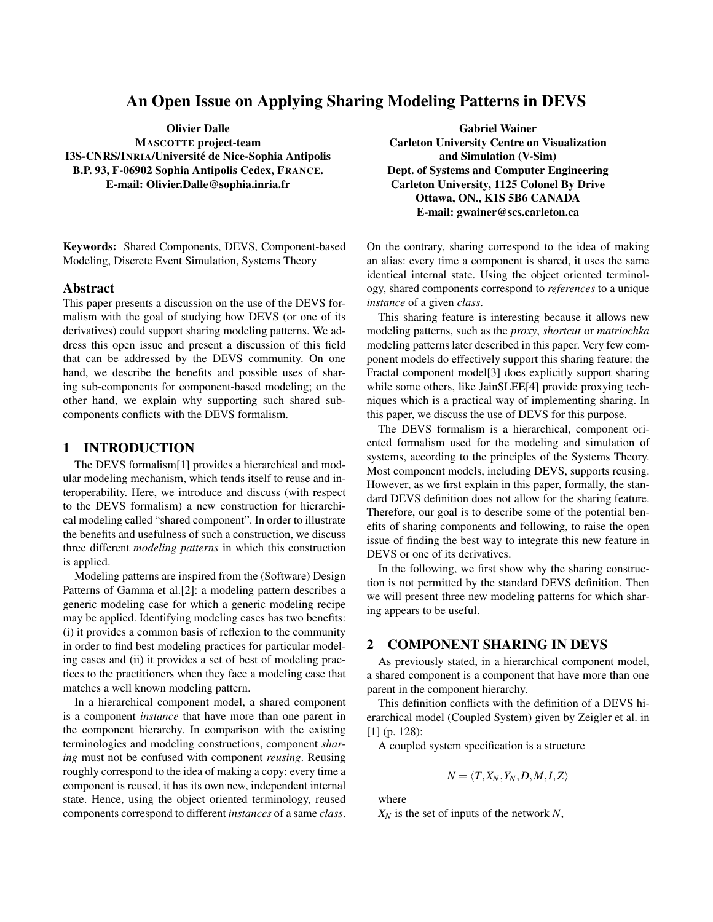# An Open Issue on Applying Sharing Modeling Patterns in DEVS

Olivier Dalle

MASCOTTE project-team I3S-CNRS/INRIA/Universite de Nice-Sophia Antipolis ´ B.P. 93, F-06902 Sophia Antipolis Cedex, FRANCE. E-mail: Olivier.Dalle@sophia.inria.fr

Keywords: Shared Components, DEVS, Component-based Modeling, Discrete Event Simulation, Systems Theory

#### Abstract

This paper presents a discussion on the use of the DEVS formalism with the goal of studying how DEVS (or one of its derivatives) could support sharing modeling patterns. We address this open issue and present a discussion of this field that can be addressed by the DEVS community. On one hand, we describe the benefits and possible uses of sharing sub-components for component-based modeling; on the other hand, we explain why supporting such shared subcomponents conflicts with the DEVS formalism.

#### 1 INTRODUCTION

The DEVS formalism[1] provides a hierarchical and modular modeling mechanism, which tends itself to reuse and interoperability. Here, we introduce and discuss (with respect to the DEVS formalism) a new construction for hierarchical modeling called "shared component". In order to illustrate the benefits and usefulness of such a construction, we discuss three different *modeling patterns* in which this construction is applied.

Modeling patterns are inspired from the (Software) Design Patterns of Gamma et al.[2]: a modeling pattern describes a generic modeling case for which a generic modeling recipe may be applied. Identifying modeling cases has two benefits: (i) it provides a common basis of reflexion to the community in order to find best modeling practices for particular modeling cases and (ii) it provides a set of best of modeling practices to the practitioners when they face a modeling case that matches a well known modeling pattern.

In a hierarchical component model, a shared component is a component *instance* that have more than one parent in the component hierarchy. In comparison with the existing terminologies and modeling constructions, component *sharing* must not be confused with component *reusing*. Reusing roughly correspond to the idea of making a copy: every time a component is reused, it has its own new, independent internal state. Hence, using the object oriented terminology, reused components correspond to different *instances* of a same *class*.

Gabriel Wainer Carleton University Centre on Visualization and Simulation (V-Sim) Dept. of Systems and Computer Engineering Carleton University, 1125 Colonel By Drive Ottawa, ON., K1S 5B6 CANADA E-mail: gwainer@scs.carleton.ca

On the contrary, sharing correspond to the idea of making an alias: every time a component is shared, it uses the same identical internal state. Using the object oriented terminology, shared components correspond to *references* to a unique *instance* of a given *class*.

This sharing feature is interesting because it allows new modeling patterns, such as the *proxy*, *shortcut* or *matriochka* modeling patterns later described in this paper. Very few component models do effectively support this sharing feature: the Fractal component model[3] does explicitly support sharing while some others, like JainSLEE[4] provide proxying techniques which is a practical way of implementing sharing. In this paper, we discuss the use of DEVS for this purpose.

The DEVS formalism is a hierarchical, component oriented formalism used for the modeling and simulation of systems, according to the principles of the Systems Theory. Most component models, including DEVS, supports reusing. However, as we first explain in this paper, formally, the standard DEVS definition does not allow for the sharing feature. Therefore, our goal is to describe some of the potential benefits of sharing components and following, to raise the open issue of finding the best way to integrate this new feature in DEVS or one of its derivatives.

In the following, we first show why the sharing construction is not permitted by the standard DEVS definition. Then we will present three new modeling patterns for which sharing appears to be useful.

#### 2 COMPONENT SHARING IN DEVS

As previously stated, in a hierarchical component model, a shared component is a component that have more than one parent in the component hierarchy.

This definition conflicts with the definition of a DEVS hierarchical model (Coupled System) given by Zeigler et al. in [1] (p. 128):

A coupled system specification is a structure

$$
N = \langle T, X_N, Y_N, D, M, I, Z \rangle
$$

where

*X<sup>N</sup>* is the set of inputs of the network *N*,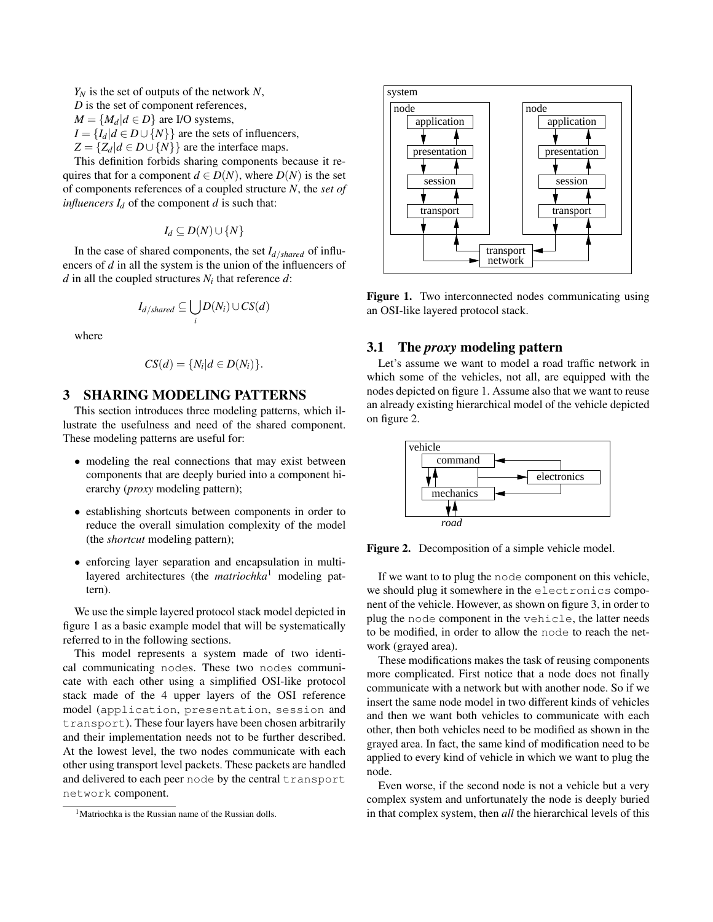*Y<sup>N</sup>* is the set of outputs of the network *N*, *D* is the set of component references,  $M = \{M_d | d \in D\}$  are I/O systems,  $I = \{I_d | d \in D \cup \{N\}\}\$ are the sets of influencers,  $Z = \{Z_d | d \in D \cup \{N\}\}\$ are the interface maps.

This definition forbids sharing components because it requires that for a component  $d \in D(N)$ , where  $D(N)$  is the set of components references of a coupled structure *N*, the *set of influencers*  $I_d$  of the component *d* is such that:

*I*<sup>*d*</sup> ⊆ *D*(*N*)∪{*N*}

In the case of shared components, the set *Id*/*shared* of influencers of *d* in all the system is the union of the influencers of *d* in all the coupled structures *N<sup>i</sup>* that reference *d*:

$$
I_{d/shared} \subseteq \bigcup_i D(N_i) \cup CS(d)
$$

where

$$
CS(d) = \{N_i | d \in D(N_i)\}.
$$

## 3 SHARING MODELING PATTERNS

This section introduces three modeling patterns, which illustrate the usefulness and need of the shared component. These modeling patterns are useful for:

- modeling the real connections that may exist between components that are deeply buried into a component hierarchy (*proxy* modeling pattern);
- establishing shortcuts between components in order to reduce the overall simulation complexity of the model (the *shortcut* modeling pattern);
- enforcing layer separation and encapsulation in multilayered architectures (the *matriochka*<sup>1</sup> modeling pattern).

We use the simple layered protocol stack model depicted in figure 1 as a basic example model that will be systematically referred to in the following sections.

This model represents a system made of two identical communicating nodes. These two nodes communicate with each other using a simplified OSI-like protocol stack made of the 4 upper layers of the OSI reference model (application, presentation, session and transport). These four layers have been chosen arbitrarily and their implementation needs not to be further described. At the lowest level, the two nodes communicate with each other using transport level packets. These packets are handled and delivered to each peer node by the central transport network component.



Figure 1. Two interconnected nodes communicating using an OSI-like layered protocol stack.

### 3.1 The *proxy* modeling pattern

Let's assume we want to model a road traffic network in which some of the vehicles, not all, are equipped with the nodes depicted on figure 1. Assume also that we want to reuse an already existing hierarchical model of the vehicle depicted on figure 2.



Figure 2. Decomposition of a simple vehicle model.

If we want to to plug the node component on this vehicle, we should plug it somewhere in the electronics component of the vehicle. However, as shown on figure 3, in order to plug the node component in the vehicle, the latter needs to be modified, in order to allow the node to reach the network (grayed area).

These modifications makes the task of reusing components more complicated. First notice that a node does not finally communicate with a network but with another node. So if we insert the same node model in two different kinds of vehicles and then we want both vehicles to communicate with each other, then both vehicles need to be modified as shown in the grayed area. In fact, the same kind of modification need to be applied to every kind of vehicle in which we want to plug the node.

Even worse, if the second node is not a vehicle but a very complex system and unfortunately the node is deeply buried in that complex system, then *all* the hierarchical levels of this

<sup>&</sup>lt;sup>1</sup>Matriochka is the Russian name of the Russian dolls.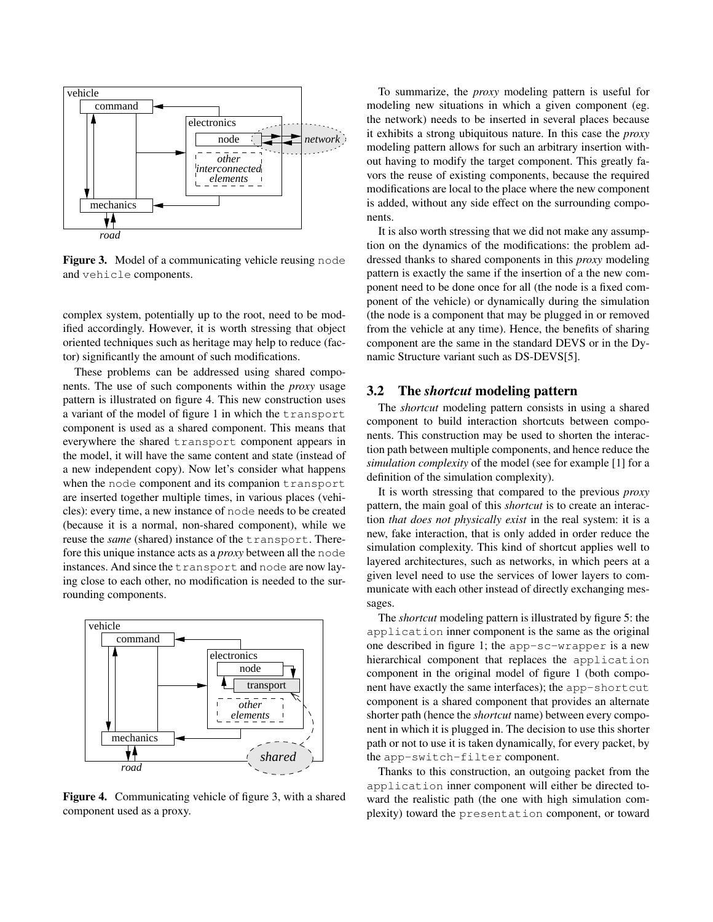

Figure 3. Model of a communicating vehicle reusing node and vehicle components.

complex system, potentially up to the root, need to be modified accordingly. However, it is worth stressing that object oriented techniques such as heritage may help to reduce (factor) significantly the amount of such modifications.

These problems can be addressed using shared components. The use of such components within the *proxy* usage pattern is illustrated on figure 4. This new construction uses a variant of the model of figure 1 in which the transport component is used as a shared component. This means that everywhere the shared transport component appears in the model, it will have the same content and state (instead of a new independent copy). Now let's consider what happens when the node component and its companion transport are inserted together multiple times, in various places (vehicles): every time, a new instance of node needs to be created (because it is a normal, non-shared component), while we reuse the *same* (shared) instance of the transport. Therefore this unique instance acts as a *proxy* between all the node instances. And since the transport and node are now laying close to each other, no modification is needed to the surrounding components.



Figure 4. Communicating vehicle of figure 3, with a shared component used as a proxy.

To summarize, the *proxy* modeling pattern is useful for modeling new situations in which a given component (eg. the network) needs to be inserted in several places because it exhibits a strong ubiquitous nature. In this case the *proxy* modeling pattern allows for such an arbitrary insertion without having to modify the target component. This greatly favors the reuse of existing components, because the required modifications are local to the place where the new component is added, without any side effect on the surrounding components.

It is also worth stressing that we did not make any assumption on the dynamics of the modifications: the problem addressed thanks to shared components in this *proxy* modeling pattern is exactly the same if the insertion of a the new component need to be done once for all (the node is a fixed component of the vehicle) or dynamically during the simulation (the node is a component that may be plugged in or removed from the vehicle at any time). Hence, the benefits of sharing component are the same in the standard DEVS or in the Dynamic Structure variant such as DS-DEVS[5].

## 3.2 The *shortcut* modeling pattern

The *shortcut* modeling pattern consists in using a shared component to build interaction shortcuts between components. This construction may be used to shorten the interaction path between multiple components, and hence reduce the *simulation complexity* of the model (see for example [1] for a definition of the simulation complexity).

It is worth stressing that compared to the previous *proxy* pattern, the main goal of this *shortcut* is to create an interaction *that does not physically exist* in the real system: it is a new, fake interaction, that is only added in order reduce the simulation complexity. This kind of shortcut applies well to layered architectures, such as networks, in which peers at a given level need to use the services of lower layers to communicate with each other instead of directly exchanging messages.

The *shortcut* modeling pattern is illustrated by figure 5: the application inner component is the same as the original one described in figure 1; the app-sc-wrapper is a new hierarchical component that replaces the application component in the original model of figure 1 (both component have exactly the same interfaces); the app-shortcut component is a shared component that provides an alternate shorter path (hence the *shortcut* name) between every component in which it is plugged in. The decision to use this shorter path or not to use it is taken dynamically, for every packet, by the app-switch-filter component.

Thanks to this construction, an outgoing packet from the application inner component will either be directed toward the realistic path (the one with high simulation complexity) toward the presentation component, or toward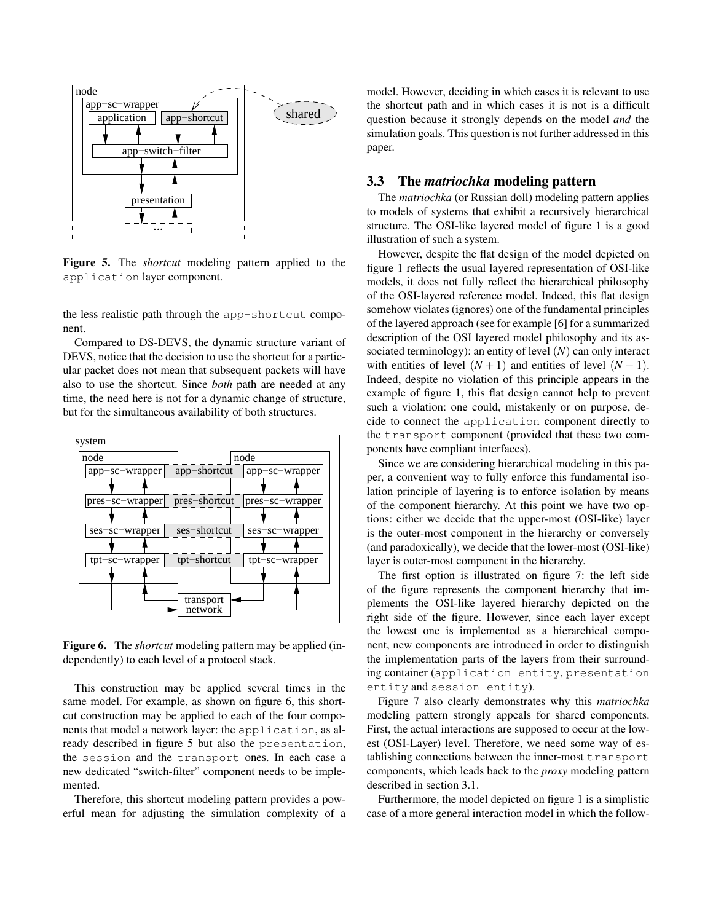

Figure 5. The *shortcut* modeling pattern applied to the application layer component.

the less realistic path through the app-shortcut component.

Compared to DS-DEVS, the dynamic structure variant of DEVS, notice that the decision to use the shortcut for a particular packet does not mean that subsequent packets will have also to use the shortcut. Since *both* path are needed at any time, the need here is not for a dynamic change of structure, but for the simultaneous availability of both structures.



Figure 6. The *shortcut* modeling pattern may be applied (independently) to each level of a protocol stack.

This construction may be applied several times in the same model. For example, as shown on figure 6, this shortcut construction may be applied to each of the four components that model a network layer: the application, as already described in figure 5 but also the presentation, the session and the transport ones. In each case a new dedicated "switch-filter" component needs to be implemented.

Therefore, this shortcut modeling pattern provides a powerful mean for adjusting the simulation complexity of a model. However, deciding in which cases it is relevant to use the shortcut path and in which cases it is not is a difficult question because it strongly depends on the model *and* the simulation goals. This question is not further addressed in this paper.

## 3.3 The *matriochka* modeling pattern

The *matriochka* (or Russian doll) modeling pattern applies to models of systems that exhibit a recursively hierarchical structure. The OSI-like layered model of figure 1 is a good illustration of such a system.

However, despite the flat design of the model depicted on figure 1 reflects the usual layered representation of OSI-like models, it does not fully reflect the hierarchical philosophy of the OSI-layered reference model. Indeed, this flat design somehow violates (ignores) one of the fundamental principles of the layered approach (see for example [6] for a summarized description of the OSI layered model philosophy and its associated terminology): an entity of level (*N*) can only interact with entities of level  $(N + 1)$  and entities of level  $(N - 1)$ . Indeed, despite no violation of this principle appears in the example of figure 1, this flat design cannot help to prevent such a violation: one could, mistakenly or on purpose, decide to connect the application component directly to the transport component (provided that these two components have compliant interfaces).

Since we are considering hierarchical modeling in this paper, a convenient way to fully enforce this fundamental isolation principle of layering is to enforce isolation by means of the component hierarchy. At this point we have two options: either we decide that the upper-most (OSI-like) layer is the outer-most component in the hierarchy or conversely (and paradoxically), we decide that the lower-most (OSI-like) layer is outer-most component in the hierarchy.

The first option is illustrated on figure 7: the left side of the figure represents the component hierarchy that implements the OSI-like layered hierarchy depicted on the right side of the figure. However, since each layer except the lowest one is implemented as a hierarchical component, new components are introduced in order to distinguish the implementation parts of the layers from their surrounding container (application entity, presentation entity and session entity).

Figure 7 also clearly demonstrates why this *matriochka* modeling pattern strongly appeals for shared components. First, the actual interactions are supposed to occur at the lowest (OSI-Layer) level. Therefore, we need some way of establishing connections between the inner-most transport components, which leads back to the *proxy* modeling pattern described in section 3.1.

Furthermore, the model depicted on figure 1 is a simplistic case of a more general interaction model in which the follow-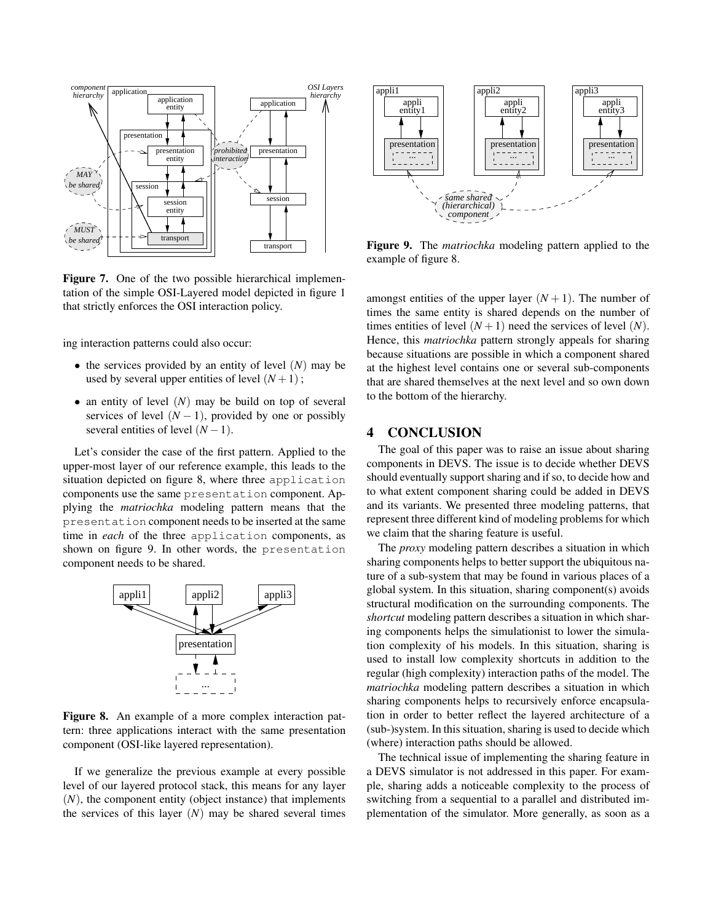

Figure 7. One of the two possible hierarchical implementation of the simple OSI-Layered model depicted in figure 1 that strictly enforces the OSI interaction policy.

ing interaction patterns could also occur:

- the services provided by an entity of level (*N*) may be used by several upper entities of level  $(N+1)$ ;
- an entity of level (*N*) may be build on top of several services of level  $(N - 1)$ , provided by one or possibly several entities of level  $(N-1)$ .

Let's consider the case of the first pattern. Applied to the upper-most layer of our reference example, this leads to the situation depicted on figure 8, where three application components use the same presentation component. Applying the *matriochka* modeling pattern means that the presentation component needs to be inserted at the same time in *each* of the three application components, as shown on figure 9. In other words, the presentation component needs to be shared.



Figure 8. An example of a more complex interaction pattern: three applications interact with the same presentation component (OSI-like layered representation).

If we generalize the previous example at every possible level of our layered protocol stack, this means for any layer (*N*), the component entity (object instance) that implements



Figure 9. The *matriochka* modeling pattern applied to the example of figure 8.

amongst entities of the upper layer  $(N + 1)$ . The number of times the same entity is shared depends on the number of times entities of level  $(N + 1)$  need the services of level  $(N)$ . Hence, this *matriochka* pattern strongly appeals for sharing because situations are possible in which a component shared at the highest level contains one or several sub-components that are shared themselves at the next level and so own down to the bottom of the hierarchy.

## 4 CONCLUSION

The goal of this paper was to raise an issue about sharing components in DEVS. The issue is to decide whether DEVS should eventually support sharing and if so, to decide how and to what extent component sharing could be added in DEVS and its variants. We presented three modeling patterns, that represent three different kind of modeling problems for which we claim that the sharing feature is useful.

The *proxy* modeling pattern describes a situation in which sharing components helps to better support the ubiquitous nature of a sub-system that may be found in various places of a global system. In this situation, sharing component(s) avoids structural modification on the surrounding components. The *shortcut* modeling pattern describes a situation in which sharing components helps the simulationist to lower the simulation complexity of his models. In this situation, sharing is used to install low complexity shortcuts in addition to the regular (high complexity) interaction paths of the model. The *matriochka* modeling pattern describes a situation in which sharing components helps to recursively enforce encapsulation in order to better reflect the layered architecture of a (sub-)system. In this situation, sharing is used to decide which (where) interaction paths should be allowed.

The technical issue of implementing the sharing feature in a DEVS simulator is not addressed in this paper. For example, sharing adds a noticeable complexity to the process of switching from a sequential to a parallel and distributed implementation of the simulator. More generally, as soon as a